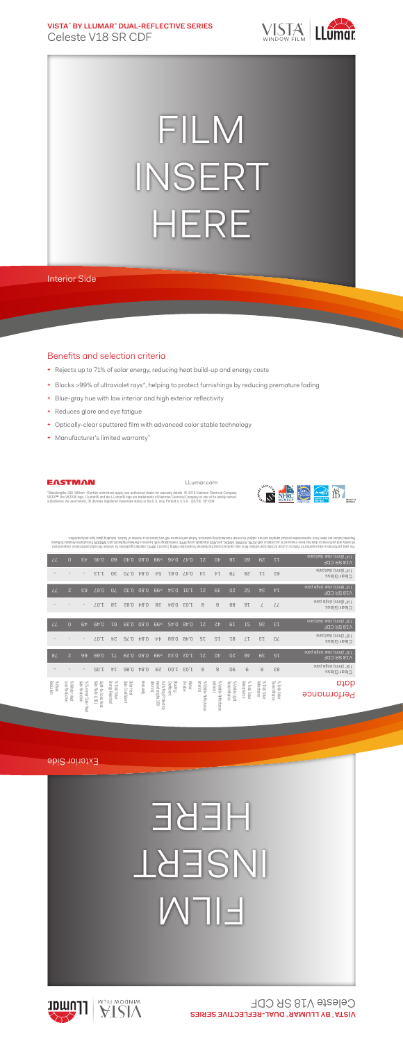**VISTA**™  **BY LLUMAR**®  **DUAL-REFLECTIVE SERIES** Celeste V18 SR CDF



## FILM INSERT HERE

Interior Side

## Benefits and selection criteria

- **+** Rejects up to 71% of solar energy, reducing heat build-up and energy costs
- **+** Blocks >99% of ultraviolet rays\*, helping to protect furnishings by reducing premature fading
- **+** Blue-gray hue with low interior and high exterior reflectivity
- **+** Reduces glare and eye fatigue
- **+** Optically-clear sputtered film with advanced color stable technology
- **+** Manufacturer's limited warranty†



LLumar.com



"Wavelengths 280-380nm. †Certain restrictions apply; see authorized dealer for warranty details. © 2016 Eastman Chemical Company.<br>VISTA™, the VISTA® logo, LLumar® and the LLumar® logo are trademarks of Eastman Chemical Com